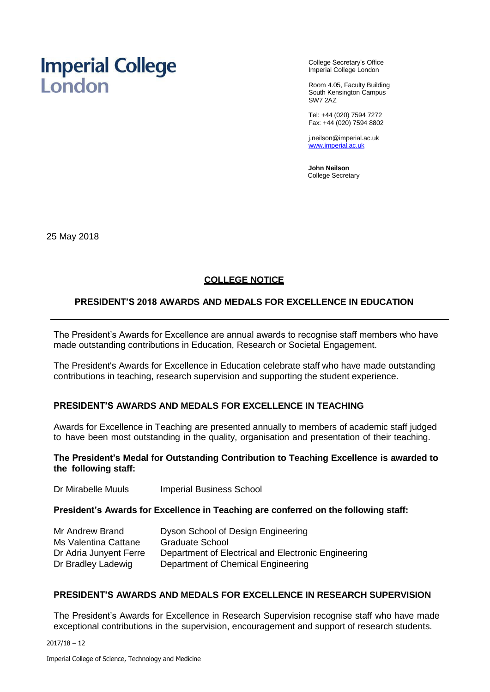# **Imperial College** London

College Secretary's Office Imperial College London

Room 4.05, Faculty Building South Kensington Campus SW7 2AZ

Tel: +44 (020) 7594 7272 Fax: +44 (020) 7594 8802

[j.neilson@imperial.ac.uk](mailto:j.neilson@imperial.ac.uk) [www.imperial.ac.uk](http://www.imperial.ac.uk/)

**John Neilson** College Secretary

25 May 2018

# **COLLEGE NOTICE**

# **PRESIDENT'S 2018 AWARDS AND MEDALS FOR EXCELLENCE IN EDUCATION**

The President's Awards for Excellence are annual awards to recognise staff members who have made outstanding contributions in Education, Research or Societal Engagement.

The President's Awards for Excellence in Education celebrate staff who have made outstanding contributions in teaching, research supervision and supporting the student experience.

# **PRESIDENT'S AWARDS AND MEDALS FOR EXCELLENCE IN TEACHING**

Awards for Excellence in Teaching are presented annually to members of academic staff judged to have been most outstanding in the quality, organisation and presentation of their teaching.

## **The President's Medal for Outstanding Contribution to Teaching Excellence is awarded to the following staff:**

Dr Mirabelle Muuls Imperial Business School

# **President's Awards for Excellence in Teaching are conferred on the following staff:**

| Mr Andrew Brand        | Dyson School of Design Engineering                  |
|------------------------|-----------------------------------------------------|
| Ms Valentina Cattane   | Graduate School                                     |
| Dr Adria Junyent Ferre | Department of Electrical and Electronic Engineering |
| Dr Bradley Ladewig     | Department of Chemical Engineering                  |

# **PRESIDENT'S AWARDS AND MEDALS FOR EXCELLENCE IN RESEARCH SUPERVISION**

The President's Awards for Excellence in Research Supervision recognise staff who have made exceptional contributions in the supervision, encouragement and support of research students.

 $2017/18 - 12$